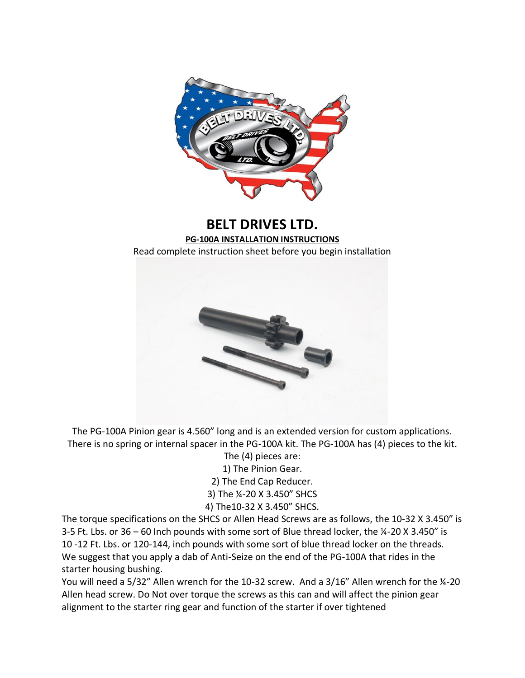

## **BELT DRIVES LTD. PG-100A INSTALLATION INSTRUCTIONS** Read complete instruction sheet before you begin installation



The PG-100A Pinion gear is 4.560" long and is an extended version for custom applications. There is no spring or internal spacer in the PG-100A kit. The PG-100A has (4) pieces to the kit.

The (4) pieces are: 1) The Pinion Gear. 2) The End Cap Reducer. 3) The ¼-20 X 3.450" SHCS 4) The10-32 X 3.450" SHCS.

The torque specifications on the SHCS or Allen Head Screws are as follows, the 10-32 X 3.450" is 3-5 Ft. Lbs. or 36 – 60 Inch pounds with some sort of Blue thread locker, the ¼-20 X 3.450" is 10 -12 Ft. Lbs. or 120-144, inch pounds with some sort of blue thread locker on the threads. We suggest that you apply a dab of Anti-Seize on the end of the PG-100A that rides in the starter housing bushing.

You will need a 5/32" Allen wrench for the 10-32 screw. And a 3/16" Allen wrench for the 14-20 Allen head screw. Do Not over torque the screws as this can and will affect the pinion gear alignment to the starter ring gear and function of the starter if over tightened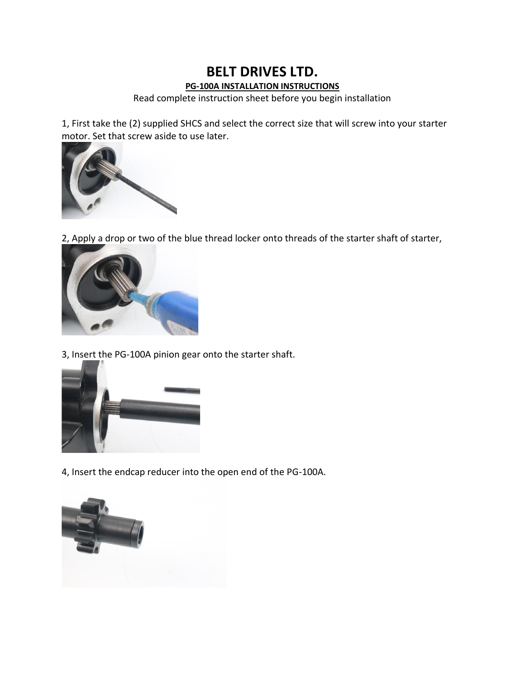## **BELT DRIVES LTD. PG-100A INSTALLATION INSTRUCTIONS**

Read complete instruction sheet before you begin installation

1, First take the (2) supplied SHCS and select the correct size that will screw into your starter motor. Set that screw aside to use later.



2, Apply a drop or two of the blue thread locker onto threads of the starter shaft of starter,



3, Insert the PG-100A pinion gear onto the starter shaft.



4, Insert the endcap reducer into the open end of the PG-100A.